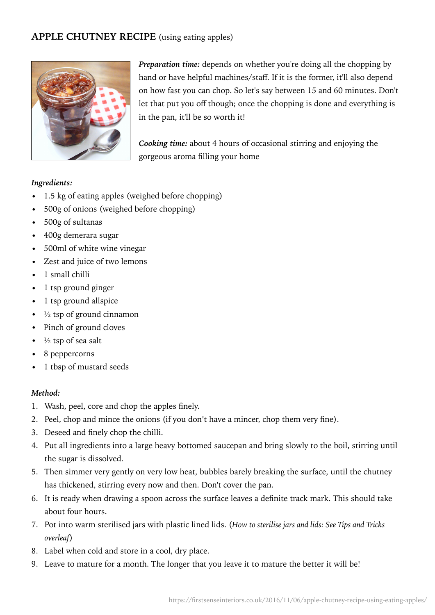# **APPLE CHUTNEY RECIPE** (using eating apples)



*Preparation time:* depends on whether you're doing all the chopping by hand or have helpful machines/staff. If it is the former, it'll also depend on how fast you can chop. So let's say between 15 and 60 minutes. Don't let that put you off though; once the chopping is done and everything is in the pan, it'll be so worth it!

*Cooking time:* about 4 hours of occasional stirring and enjoying the gorgeous aroma filling your home

#### *Ingredients:*

- 1.5 kg of eating apples (weighed before chopping)
- 500g of onions (weighed before chopping)
- 500g of sultanas
- 400g demerara sugar
- 500ml of white wine vinegar
- Zest and juice of two lemons
- 1 small chilli
- 1 tsp ground ginger
- 1 tsp ground allspice
- $\cdot$   $\frac{1}{2}$  tsp of ground cinnamon
- Pinch of ground cloves
- $\frac{1}{2}$  tsp of sea salt
- 8 peppercorns
- 1 tbsp of mustard seeds

### *Method:*

- 1. Wash, peel, core and chop the apples finely.
- 2. Peel, chop and mince the onions (if you don't have a mincer, chop them very fine).
- 3. Deseed and finely chop the chilli.
- 4. Put all ingredients into a large heavy bottomed saucepan and bring slowly to the boil, stirring until the sugar is dissolved.
- 5. Then simmer very gently on very low heat, bubbles barely breaking the surface, until the chutney has thickened, stirring every now and then. Don't cover the pan.
- 6. It is ready when drawing a spoon across the surface leaves a definite track mark. This should take about four hours.
- 7. Pot into warm sterilised jars with plastic lined lids. (*How to sterilise jars and lids: See Tips and Tricks overleaf*)
- 8. Label when cold and store in a cool, dry place.
- 9. Leave to mature for a month. The longer that you leave it to mature the better it will be!